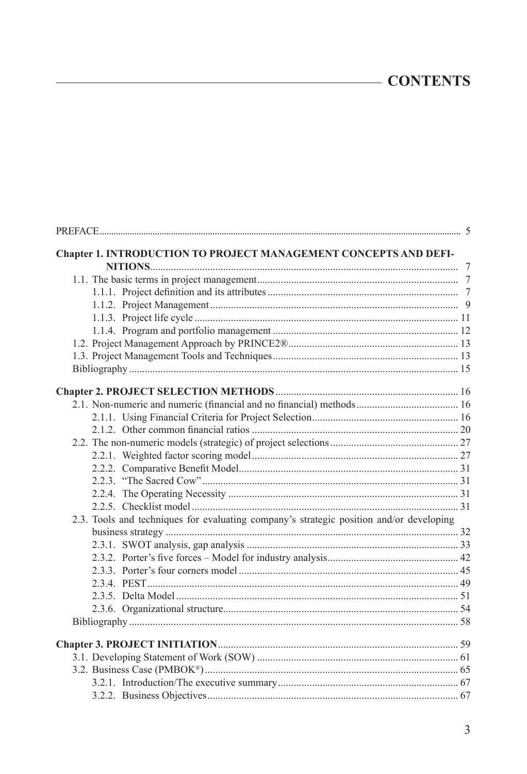## **CONTENTS**

| Chapter 1. INTRODUCTION TO PROJECT MANAGEMENT CONCEPTS AND DEFI-                        |  |
|-----------------------------------------------------------------------------------------|--|
|                                                                                         |  |
|                                                                                         |  |
|                                                                                         |  |
|                                                                                         |  |
|                                                                                         |  |
|                                                                                         |  |
|                                                                                         |  |
|                                                                                         |  |
|                                                                                         |  |
| 2.1. Non-numeric and numeric (financial and no financial) methods 16                    |  |
|                                                                                         |  |
|                                                                                         |  |
|                                                                                         |  |
|                                                                                         |  |
|                                                                                         |  |
|                                                                                         |  |
|                                                                                         |  |
|                                                                                         |  |
| 2.3. Tools and techniques for evaluating company's strategic position and/or developing |  |
|                                                                                         |  |
|                                                                                         |  |
|                                                                                         |  |
|                                                                                         |  |
|                                                                                         |  |
|                                                                                         |  |
|                                                                                         |  |
|                                                                                         |  |
|                                                                                         |  |
|                                                                                         |  |
|                                                                                         |  |
|                                                                                         |  |
|                                                                                         |  |